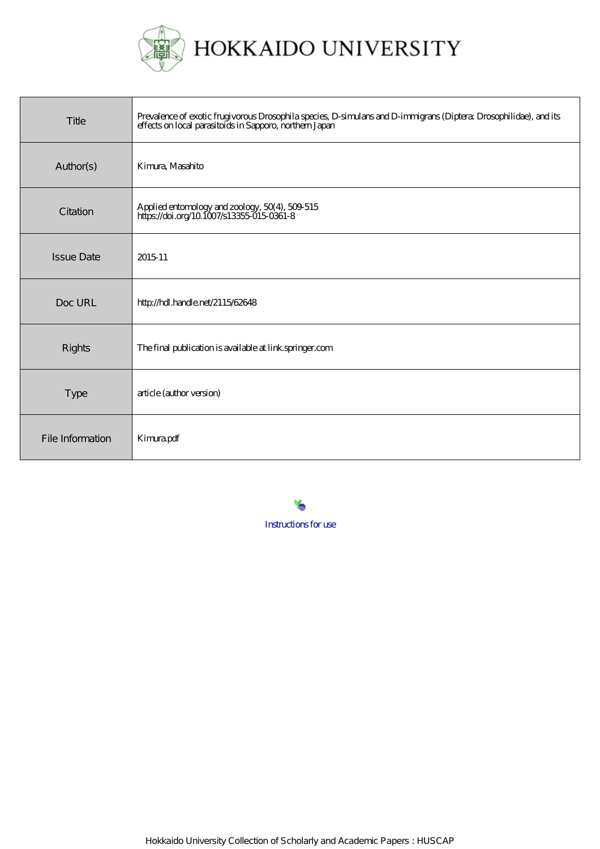

HOKKAIDO UNIVERSITY

| Title             | Prevalence of exotic frugivorous Drosophila species, D-simulars and D-immigrans (Diptera Drosophilidae), and its<br>effects on local parasitoids in Sapporo, northern Japan |
|-------------------|-----------------------------------------------------------------------------------------------------------------------------------------------------------------------------|
| Author(s)         | Kimura, Masahito                                                                                                                                                            |
| Citation          | Applied entomology and zoology, 50(4), 509-515<br>https://doi.org/10.1007/s13355-015-0361-8                                                                                 |
| <b>Issue Date</b> | 2015-11                                                                                                                                                                     |
| Doc URL           | http://hdl.handle.net/2115/62648                                                                                                                                            |
| Rights            | The final publication is available at link springer.com                                                                                                                     |
| Type              | article (author version)                                                                                                                                                    |
| File Information  | Kimrapdf                                                                                                                                                                    |

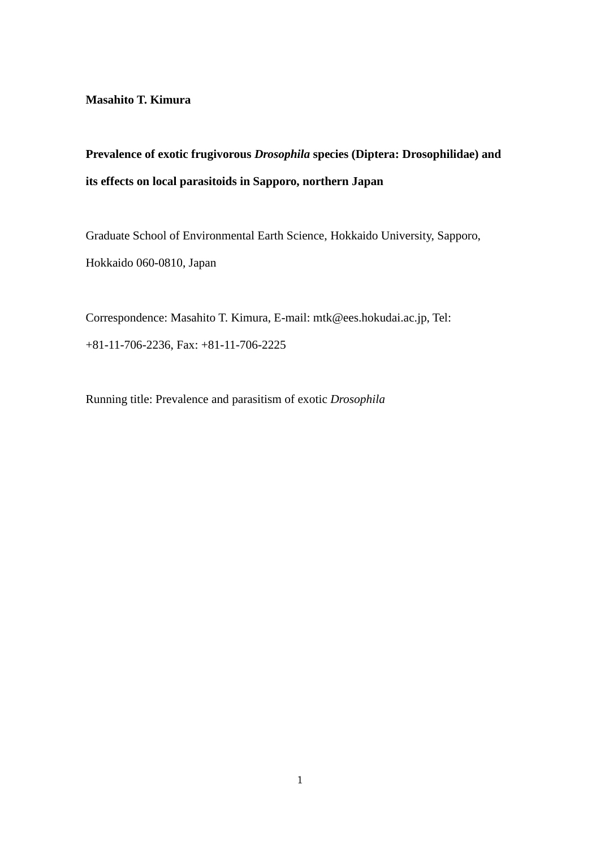**Masahito T. Kimura**

# **Prevalence of exotic frugivorous** *Drosophila* **species (Diptera: Drosophilidae) and its effects on local parasitoids in Sapporo, northern Japan**

Graduate School of Environmental Earth Science, Hokkaido University, Sapporo, Hokkaido 060-0810, Japan

Correspondence: Masahito T. Kimura, E-mail: [mtk@ees.hokudai.ac.jp,](mailto:mtk@ees.hokudai.ac.jp) Tel: +81-11-706-2236, Fax: +81-11-706-2225

Running title: Prevalence and parasitism of exotic *Drosophila*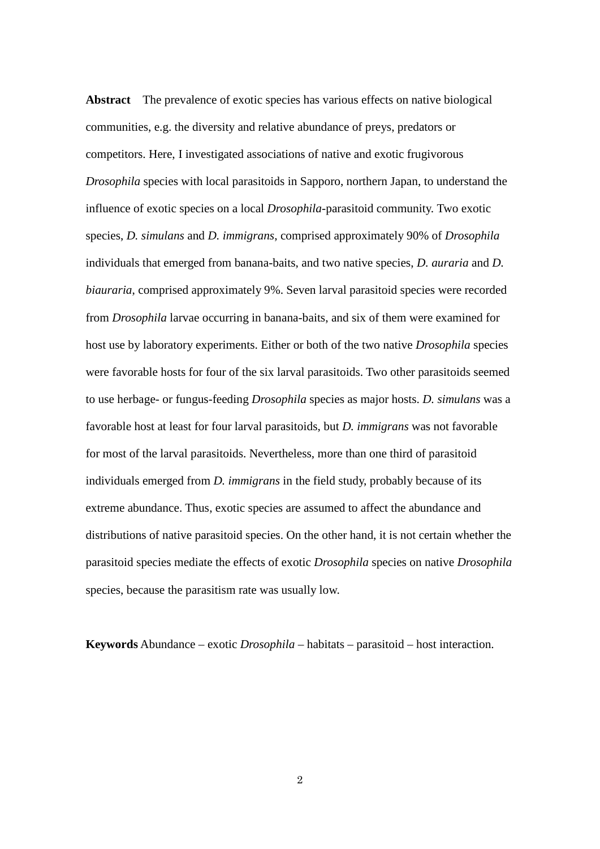**Abstract** The prevalence of exotic species has various effects on native biological communities, e.g. the diversity and relative abundance of preys, predators or competitors. Here, I investigated associations of native and exotic frugivorous *Drosophila* species with local parasitoids in Sapporo, northern Japan, to understand the influence of exotic species on a local *Drosophila*-parasitoid community. Two exotic species, *D. simulans* and *D. immigrans*, comprised approximately 90% of *Drosophila* individuals that emerged from banana-baits, and two native species, *D. auraria* and *D. biauraria*, comprised approximately 9%. Seven larval parasitoid species were recorded from *Drosophila* larvae occurring in banana-baits, and six of them were examined for host use by laboratory experiments. Either or both of the two native *Drosophila* species were favorable hosts for four of the six larval parasitoids. Two other parasitoids seemed to use herbage- or fungus-feeding *Drosophila* species as major hosts. *D. simulans* was a favorable host at least for four larval parasitoids, but *D. immigrans* was not favorable for most of the larval parasitoids. Nevertheless, more than one third of parasitoid individuals emerged from *D. immigrans* in the field study, probably because of its extreme abundance. Thus, exotic species are assumed to affect the abundance and distributions of native parasitoid species. On the other hand, it is not certain whether the parasitoid species mediate the effects of exotic *Drosophila* species on native *Drosophila* species, because the parasitism rate was usually low.

**Keywords** Abundance – exotic *Drosophila* – habitats – parasitoid – host interaction.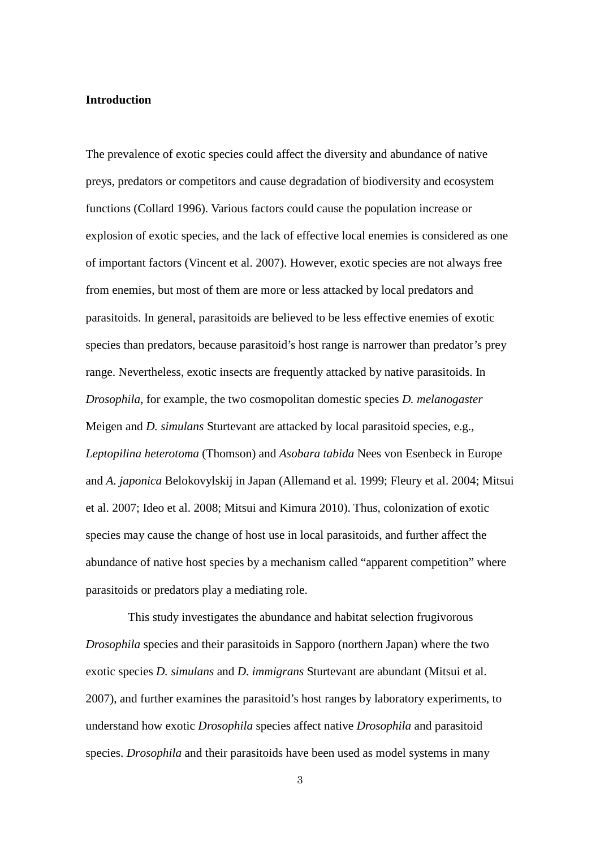### **Introduction**

The prevalence of exotic species could affect the diversity and abundance of native preys, predators or competitors and cause degradation of biodiversity and ecosystem functions (Collard 1996). Various factors could cause the population increase or explosion of exotic species, and the lack of effective local enemies is considered as one of important factors (Vincent et al. 2007). However, exotic species are not always free from enemies, but most of them are more or less attacked by local predators and parasitoids. In general, parasitoids are believed to be less effective enemies of exotic species than predators, because parasitoid's host range is narrower than predator's prey range. Nevertheless, exotic insects are frequently attacked by native parasitoids. In *Drosophila*, for example, the two cosmopolitan domestic species *D. melanogaster* Meigen and *D. simulans* Sturtevant are attacked by local parasitoid species, e.g., *Leptopilina heterotoma* (Thomson) and *Asobara tabida* Nees von Esenbeck in Europe and *A. japonica* Belokovylskij in Japan (Allemand et al*.* 1999; Fleury et al. 2004; Mitsui et al. 2007; Ideo et al. 2008; Mitsui and Kimura 2010). Thus, colonization of exotic species may cause the change of host use in local parasitoids, and further affect the abundance of native host species by a mechanism called "apparent competition" where parasitoids or predators play a mediating role.

This study investigates the abundance and habitat selection frugivorous *Drosophila* species and their parasitoids in Sapporo (northern Japan) where the two exotic species *D. simulans* and *D. immigrans* Sturtevant are abundant (Mitsui et al. 2007), and further examines the parasitoid's host ranges by laboratory experiments, to understand how exotic *Drosophila* species affect native *Drosophila* and parasitoid species. *Drosophila* and their parasitoids have been used as model systems in many

3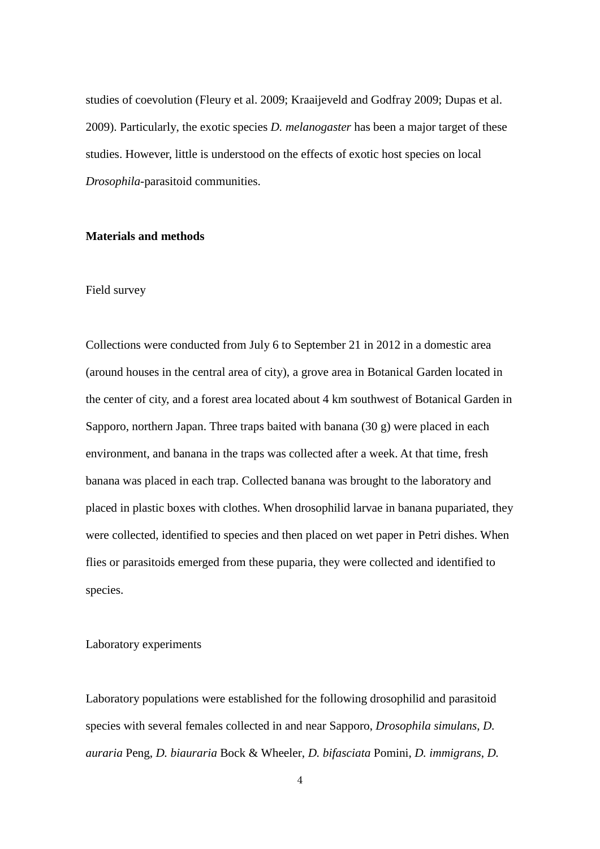studies of coevolution (Fleury et al. 2009; Kraaijeveld and Godfray 2009; Dupas et al. 2009). Particularly, the exotic species *D. melanogaster* has been a major target of these studies. However, little is understood on the effects of exotic host species on local *Drosophila*-parasitoid communities.

#### **Materials and methods**

#### Field survey

Collections were conducted from July 6 to September 21 in 2012 in a domestic area (around houses in the central area of city), a grove area in Botanical Garden located in the center of city, and a forest area located about 4 km southwest of Botanical Garden in Sapporo, northern Japan. Three traps baited with banana (30 g) were placed in each environment, and banana in the traps was collected after a week. At that time, fresh banana was placed in each trap. Collected banana was brought to the laboratory and placed in plastic boxes with clothes. When drosophilid larvae in banana pupariated, they were collected, identified to species and then placed on wet paper in Petri dishes. When flies or parasitoids emerged from these puparia, they were collected and identified to species.

#### Laboratory experiments

Laboratory populations were established for the following drosophilid and parasitoid species with several females collected in and near Sapporo, *Drosophila simulans*, *D. auraria* Peng, *D. biauraria* Bock & Wheeler, *D. bifasciata* Pomini, *D. immigrans*, *D.*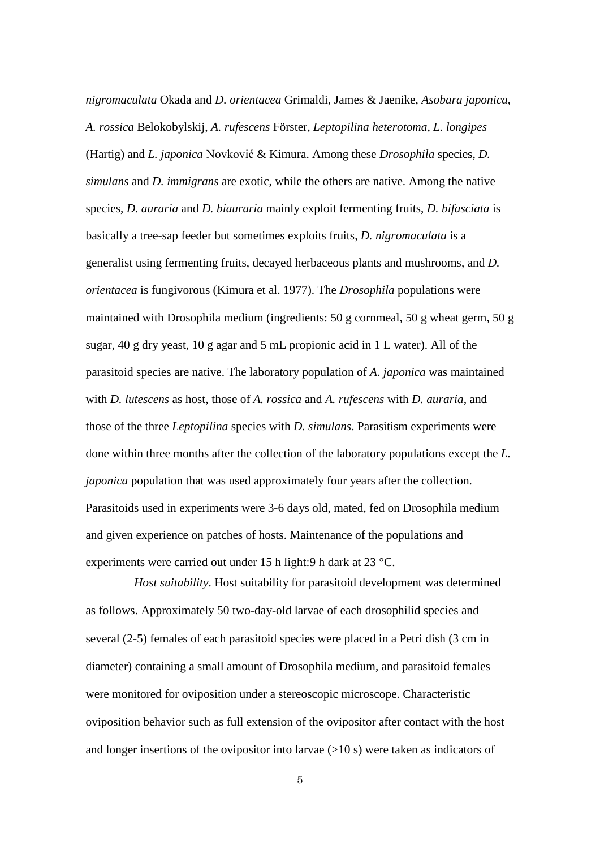*nigromaculata* Okada and *D. orientacea* Grimaldi, James & Jaenike, *Asobara japonica*, *A. rossica* Belokobylskij, *A. rufescens* Förster, *Leptopilina heterotoma*, *L. longipes* (Hartig) and *L. japonica* Novković & Kimura. Among these *Drosophila* species, *D. simulans* and *D. immigrans* are exotic, while the others are native. Among the native species, *D. auraria* and *D. biauraria* mainly exploit fermenting fruits, *D. bifasciata* is basically a tree-sap feeder but sometimes exploits fruits, *D. nigromaculata* is a generalist using fermenting fruits, decayed herbaceous plants and mushrooms, and *D. orientacea* is fungivorous (Kimura et al. 1977). The *Drosophila* populations were maintained with Drosophila medium (ingredients: 50 g cornmeal, 50 g wheat germ, 50 g sugar, 40 g dry yeast, 10 g agar and 5 mL propionic acid in 1 L water). All of the parasitoid species are native. The laboratory population of *A. japonica* was maintained with *D. lutescens* as host, those of *A. rossica* and *A. rufescens* with *D. auraria*, and those of the three *Leptopilina* species with *D. simulans*. Parasitism experiments were done within three months after the collection of the laboratory populations except the *L. japonica* population that was used approximately four years after the collection. Parasitoids used in experiments were 3-6 days old, mated, fed on Drosophila medium and given experience on patches of hosts. Maintenance of the populations and experiments were carried out under 15 h light:9 h dark at 23 °C.

*Host suitability*. Host suitability for parasitoid development was determined as follows. Approximately 50 two-day-old larvae of each drosophilid species and several (2-5) females of each parasitoid species were placed in a Petri dish (3 cm in diameter) containing a small amount of Drosophila medium, and parasitoid females were monitored for oviposition under a stereoscopic microscope. Characteristic oviposition behavior such as full extension of the ovipositor after contact with the host and longer insertions of the ovipositor into larvae  $(>10 s)$  were taken as indicators of

5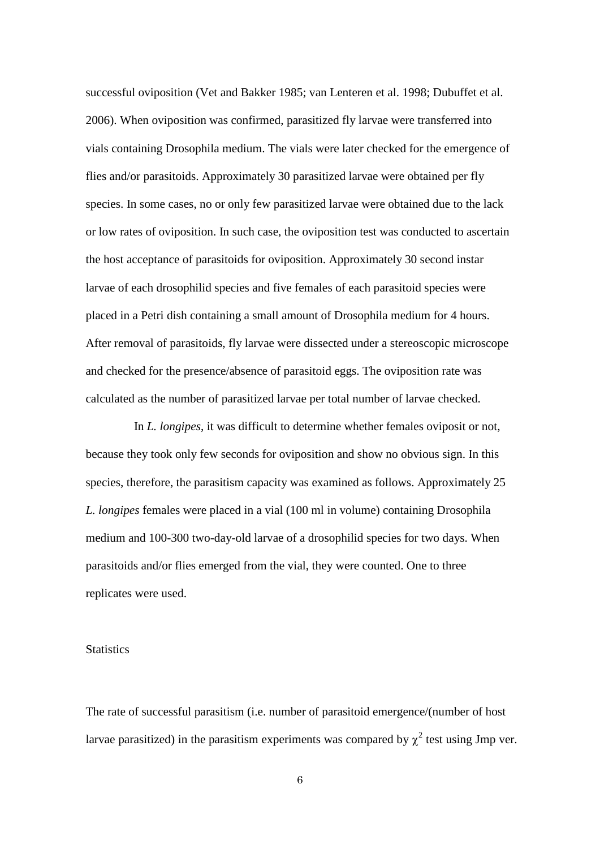successful oviposition (Vet and Bakker 1985; van Lenteren et al. 1998; Dubuffet et al. 2006). When oviposition was confirmed, parasitized fly larvae were transferred into vials containing Drosophila medium. The vials were later checked for the emergence of flies and/or parasitoids. Approximately 30 parasitized larvae were obtained per fly species. In some cases, no or only few parasitized larvae were obtained due to the lack or low rates of oviposition. In such case, the oviposition test was conducted to ascertain the host acceptance of parasitoids for oviposition. Approximately 30 second instar larvae of each drosophilid species and five females of each parasitoid species were placed in a Petri dish containing a small amount of Drosophila medium for 4 hours. After removal of parasitoids, fly larvae were dissected under a stereoscopic microscope and checked for the presence/absence of parasitoid eggs. The oviposition rate was calculated as the number of parasitized larvae per total number of larvae checked.

In *L. longipes*, it was difficult to determine whether females oviposit or not, because they took only few seconds for oviposition and show no obvious sign. In this species, therefore, the parasitism capacity was examined as follows. Approximately 25 *L. longipes* females were placed in a vial (100 ml in volume) containing Drosophila medium and 100-300 two-day-old larvae of a drosophilid species for two days. When parasitoids and/or flies emerged from the vial, they were counted. One to three replicates were used.

## **Statistics**

The rate of successful parasitism (i.e. number of parasitoid emergence/(number of host larvae parasitized) in the parasitism experiments was compared by  $\chi^2$  test using Jmp ver.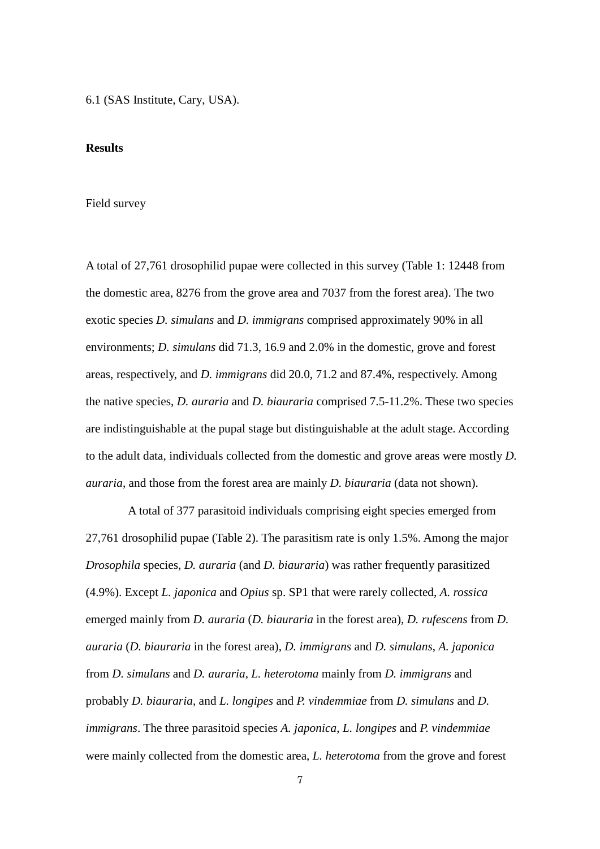6.1 (SAS Institute, Cary, USA).

### **Results**

#### Field survey

A total of 27,761 drosophilid pupae were collected in this survey (Table 1: 12448 from the domestic area, 8276 from the grove area and 7037 from the forest area). The two exotic species *D. simulans* and *D. immigrans* comprised approximately 90% in all environments; *D. simulans* did 71.3, 16.9 and 2.0% in the domestic, grove and forest areas, respectively, and *D. immigrans* did 20.0, 71.2 and 87.4%, respectively. Among the native species, *D. auraria* and *D. biauraria* comprised 7.5-11.2%. These two species are indistinguishable at the pupal stage but distinguishable at the adult stage. According to the adult data, individuals collected from the domestic and grove areas were mostly *D. auraria*, and those from the forest area are mainly *D. biauraria* (data not shown).

A total of 377 parasitoid individuals comprising eight species emerged from 27,761 drosophilid pupae (Table 2). The parasitism rate is only 1.5%. Among the major *Drosophila* species, *D. auraria* (and *D. biauraria*) was rather frequently parasitized (4.9%). Except *L. japonica* and *Opius* sp. SP1 that were rarely collected, *A. rossica* emerged mainly from *D. auraria* (*D. biauraria* in the forest area), *D. rufescens* from *D. auraria* (*D. biauraria* in the forest area), *D. immigrans* and *D. simulans*, *A. japonica* from *D. simulans* and *D. auraria*, *L. heterotoma* mainly from *D. immigrans* and probably *D. biauraria*, and *L. longipes* and *P. vindemmiae* from *D. simulans* and *D. immigrans*. The three parasitoid species *A. japonica*, *L. longipes* and *P. vindemmiae* were mainly collected from the domestic area, *L. heterotoma* from the grove and forest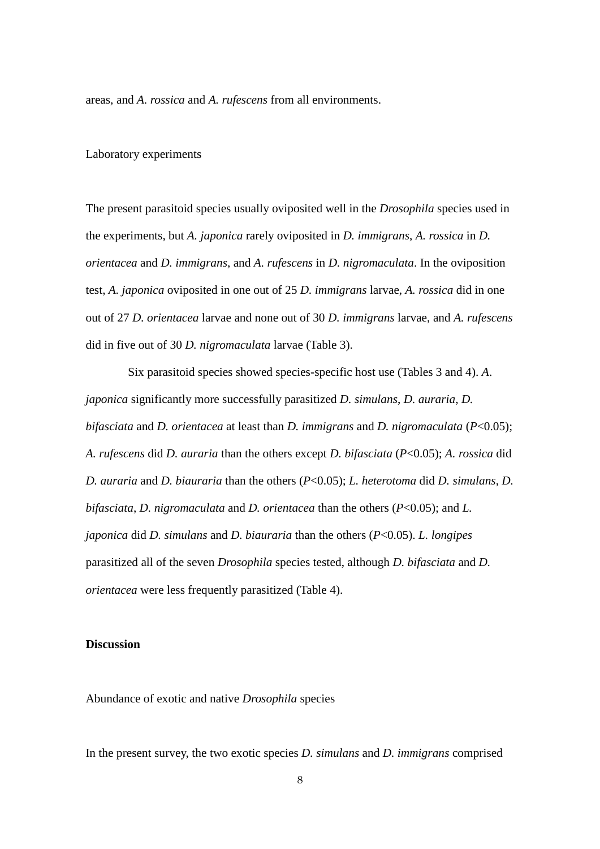areas, and *A. rossica* and *A. rufescens* from all environments.

#### Laboratory experiments

The present parasitoid species usually oviposited well in the *Drosophila* species used in the experiments, but *A. japonica* rarely oviposited in *D. immigrans*, *A. rossica* in *D. orientacea* and *D. immigrans*, and *A. rufescens* in *D. nigromaculata*. In the oviposition test, *A. japonica* oviposited in one out of 25 *D. immigrans* larvae, *A. rossica* did in one out of 27 *D. orientacea* larvae and none out of 30 *D. immigrans* larvae, and *A. rufescens* did in five out of 30 *D. nigromaculata* larvae (Table 3).

Six parasitoid species showed species-specific host use (Tables 3 and 4). *A*. *japonica* significantly more successfully parasitized *D. simulans*, *D. auraria*, *D. bifasciata* and *D. orientacea* at least than *D. immigrans* and *D. nigromaculata* (*P*<0.05); *A. rufescens* did *D. auraria* than the others except *D. bifasciata* (*P*<0.05); *A. rossica* did *D. auraria* and *D. biauraria* than the others (*P*<0.05); *L. heterotoma* did *D. simulans*, *D. bifasciata*, *D. nigromaculata* and *D. orientacea* than the others (*P*<0.05); and *L. japonica* did *D. simulans* and *D. biauraria* than the others (*P*<0.05). *L. longipes* parasitized all of the seven *Drosophila* species tested, although *D. bifasciata* and *D. orientacea* were less frequently parasitized (Table 4).

### **Discussion**

Abundance of exotic and native *Drosophila* species

In the present survey, the two exotic species *D. simulans* and *D. immigrans* comprised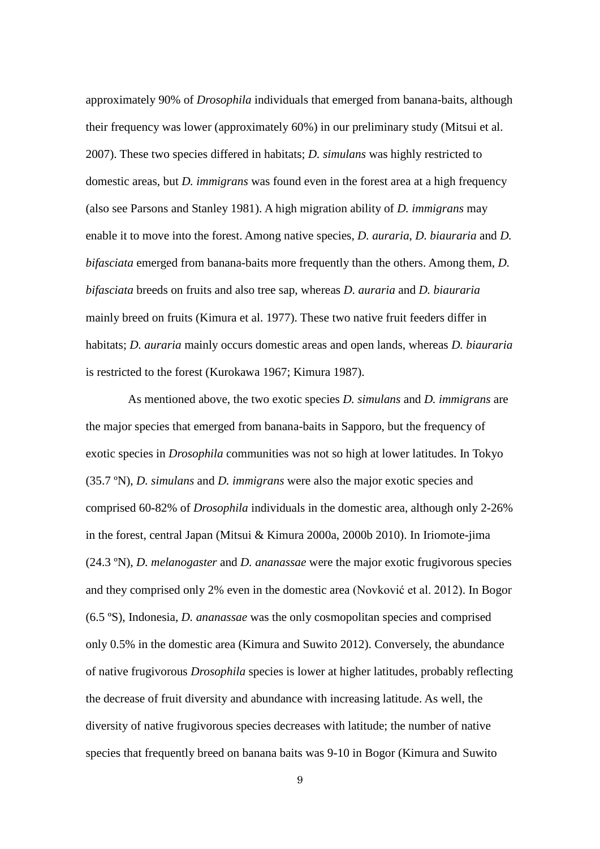approximately 90% of *Drosophila* individuals that emerged from banana-baits, although their frequency was lower (approximately 60%) in our preliminary study (Mitsui et al. 2007). These two species differed in habitats; *D. simulans* was highly restricted to domestic areas, but *D. immigrans* was found even in the forest area at a high frequency (also see Parsons and Stanley 1981). A high migration ability of *D. immigrans* may enable it to move into the forest. Among native species, *D. auraria*, *D. biauraria* and *D. bifasciata* emerged from banana-baits more frequently than the others. Among them, *D. bifasciata* breeds on fruits and also tree sap, whereas *D. auraria* and *D. biauraria* mainly breed on fruits (Kimura et al. 1977). These two native fruit feeders differ in habitats; *D. auraria* mainly occurs domestic areas and open lands, whereas *D. biauraria* is restricted to the forest (Kurokawa 1967; Kimura 1987).

As mentioned above, the two exotic species *D. simulans* and *D. immigrans* are the major species that emerged from banana-baits in Sapporo, but the frequency of exotic species in *Drosophila* communities was not so high at lower latitudes. In Tokyo (35.7 ºN), *D. simulans* and *D. immigrans* were also the major exotic species and comprised 60-82% of *Drosophila* individuals in the domestic area, although only 2-26% in the forest, central Japan (Mitsui & Kimura 2000a, 2000b 2010). In Iriomote-jima (24.3 ºN), *D. melanogaster* and *D. ananassae* were the major exotic frugivorous species and they comprised only 2% even in the domestic area (Novković et al. 2012). In Bogor (6.5 ºS), Indonesia, *D. ananassae* was the only cosmopolitan species and comprised only 0.5% in the domestic area (Kimura and Suwito 2012). Conversely, the abundance of native frugivorous *Drosophila* species is lower at higher latitudes, probably reflecting the decrease of fruit diversity and abundance with increasing latitude. As well, the diversity of native frugivorous species decreases with latitude; the number of native species that frequently breed on banana baits was 9-10 in Bogor (Kimura and Suwito

9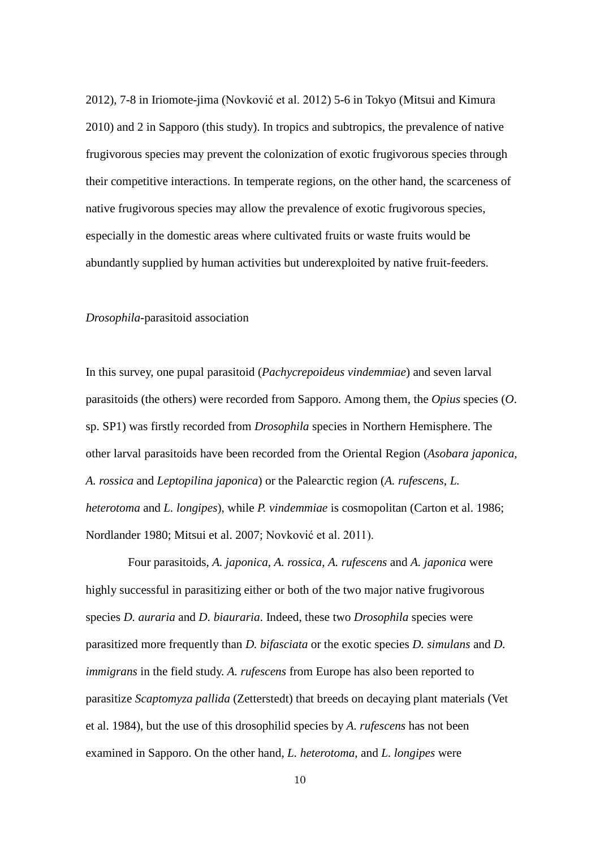2012), 7-8 in Iriomote-jima (Novković et al. 2012) 5-6 in Tokyo (Mitsui and Kimura 2010) and 2 in Sapporo (this study). In tropics and subtropics, the prevalence of native frugivorous species may prevent the colonization of exotic frugivorous species through their competitive interactions. In temperate regions, on the other hand, the scarceness of native frugivorous species may allow the prevalence of exotic frugivorous species, especially in the domestic areas where cultivated fruits or waste fruits would be abundantly supplied by human activities but underexploited by native fruit-feeders.

#### *Drosophila*-parasitoid association

In this survey, one pupal parasitoid (*Pachycrepoideus vindemmiae*) and seven larval parasitoids (the others) were recorded from Sapporo. Among them, the *Opius* species (*O*. sp. SP1) was firstly recorded from *Drosophila* species in Northern Hemisphere. The other larval parasitoids have been recorded from the Oriental Region (*Asobara japonica*, *A. rossica* and *Leptopilina japonica*) or the Palearctic region (*A. rufescens*, *L. heterotoma* and *L. longipes*), while *P. vindemmiae* is cosmopolitan (Carton et al. 1986; Nordlander 1980; Mitsui et al. 2007; Novković et al. 2011).

Four parasitoids, *A. japonica*, *A. rossica*, *A. rufescens* and *A. japonica* were highly successful in parasitizing either or both of the two major native frugivorous species *D. auraria* and *D. biauraria*. Indeed, these two *Drosophila* species were parasitized more frequently than *D. bifasciata* or the exotic species *D. simulans* and *D. immigrans* in the field study. *A. rufescens* from Europe has also been reported to parasitize *Scaptomyza pallida* (Zetterstedt) that breeds on decaying plant materials (Vet et al. 1984), but the use of this drosophilid species by *A. rufescens* has not been examined in Sapporo. On the other hand, *L. heterotoma*, and *L. longipes* were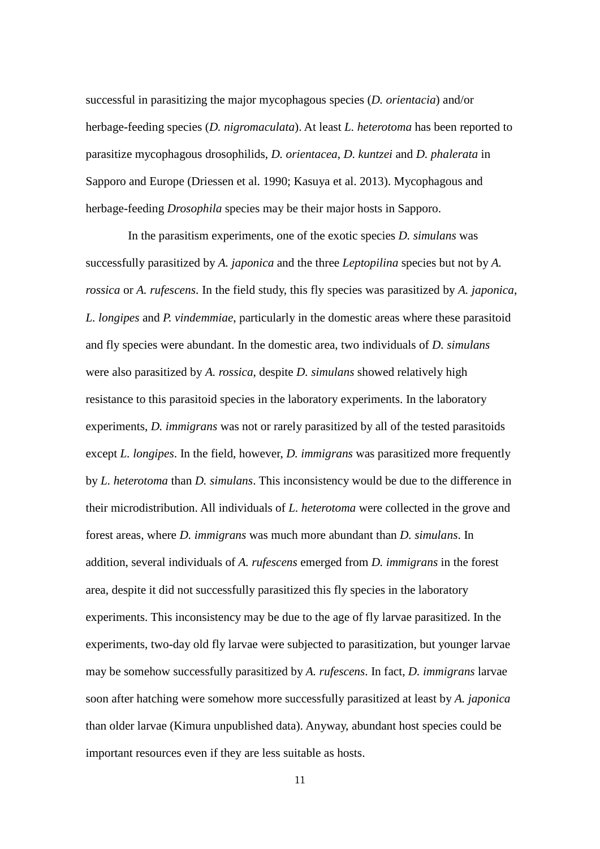successful in parasitizing the major mycophagous species (*D. orientacia*) and/or herbage-feeding species (*D. nigromaculata*). At least *L. heterotoma* has been reported to parasitize mycophagous drosophilids, *D. orientacea*, *D. kuntzei* and *D. phalerata* in Sapporo and Europe (Driessen et al. 1990; Kasuya et al. 2013). Mycophagous and herbage-feeding *Drosophila* species may be their major hosts in Sapporo.

In the parasitism experiments, one of the exotic species *D. simulans* was successfully parasitized by *A. japonica* and the three *Leptopilina* species but not by *A. rossica* or *A. rufescens*. In the field study, this fly species was parasitized by *A. japonica*, *L. longipes* and *P. vindemmiae*, particularly in the domestic areas where these parasitoid and fly species were abundant. In the domestic area, two individuals of *D. simulans* were also parasitized by *A. rossica*, despite *D. simulans* showed relatively high resistance to this parasitoid species in the laboratory experiments. In the laboratory experiments, *D. immigrans* was not or rarely parasitized by all of the tested parasitoids except *L. longipes*. In the field, however, *D. immigrans* was parasitized more frequently by *L. heterotoma* than *D. simulans*. This inconsistency would be due to the difference in their microdistribution. All individuals of *L. heterotoma* were collected in the grove and forest areas, where *D. immigrans* was much more abundant than *D. simulans*. In addition, several individuals of *A. rufescens* emerged from *D. immigrans* in the forest area, despite it did not successfully parasitized this fly species in the laboratory experiments. This inconsistency may be due to the age of fly larvae parasitized. In the experiments, two-day old fly larvae were subjected to parasitization, but younger larvae may be somehow successfully parasitized by *A. rufescens*. In fact, *D. immigrans* larvae soon after hatching were somehow more successfully parasitized at least by *A. japonica* than older larvae (Kimura unpublished data). Anyway, abundant host species could be important resources even if they are less suitable as hosts.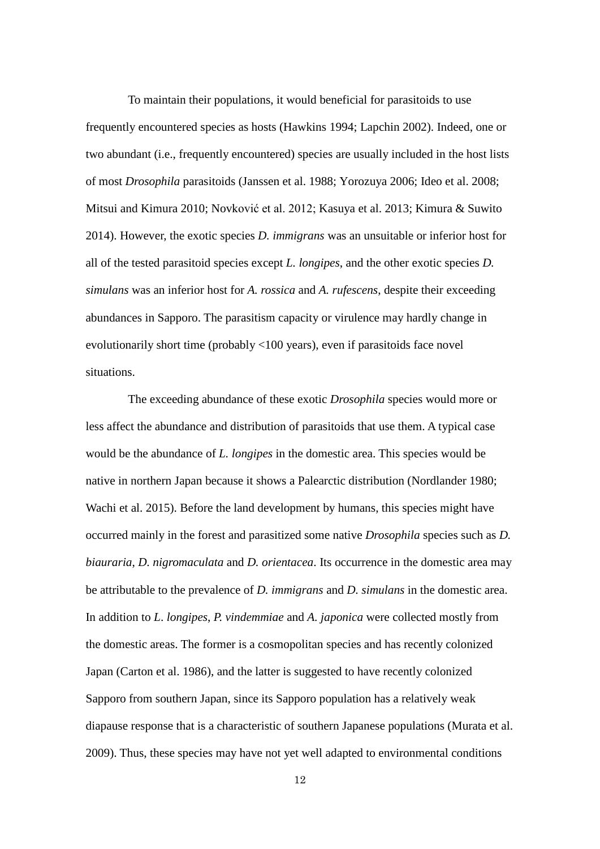To maintain their populations, it would beneficial for parasitoids to use frequently encountered species as hosts (Hawkins 1994; Lapchin 2002). Indeed, one or two abundant (i.e., frequently encountered) species are usually included in the host lists of most *Drosophila* parasitoids (Janssen et al. 1988; Yorozuya 2006; Ideo et al. 2008; Mitsui and Kimura 2010; Novković et al. 2012; Kasuya et al. 2013; Kimura & Suwito 2014). However, the exotic species *D. immigrans* was an unsuitable or inferior host for all of the tested parasitoid species except *L. longipes*, and the other exotic species *D. simulans* was an inferior host for *A. rossica* and *A. rufescens*, despite their exceeding abundances in Sapporo. The parasitism capacity or virulence may hardly change in evolutionarily short time (probably <100 years), even if parasitoids face novel situations.

The exceeding abundance of these exotic *Drosophila* species would more or less affect the abundance and distribution of parasitoids that use them. A typical case would be the abundance of *L. longipes* in the domestic area. This species would be native in northern Japan because it shows a Palearctic distribution (Nordlander 1980; Wachi et al. 2015). Before the land development by humans, this species might have occurred mainly in the forest and parasitized some native *Drosophila* species such as *D. biauraria*, *D. nigromaculata* and *D. orientacea*. Its occurrence in the domestic area may be attributable to the prevalence of *D. immigrans* and *D. simulans* in the domestic area. In addition to *L*. *longipes*, *P. vindemmiae* and *A. japonica* were collected mostly from the domestic areas. The former is a cosmopolitan species and has recently colonized Japan (Carton et al. 1986), and the latter is suggested to have recently colonized Sapporo from southern Japan, since its Sapporo population has a relatively weak diapause response that is a characteristic of southern Japanese populations (Murata et al. 2009). Thus, these species may have not yet well adapted to environmental conditions

12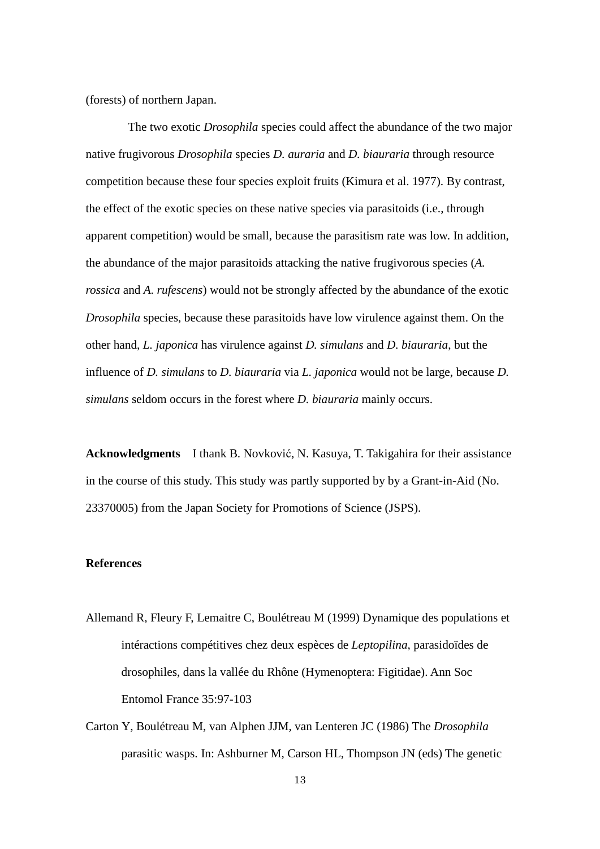(forests) of northern Japan.

The two exotic *Drosophila* species could affect the abundance of the two major native frugivorous *Drosophila* species *D. auraria* and *D. biauraria* through resource competition because these four species exploit fruits (Kimura et al. 1977). By contrast, the effect of the exotic species on these native species via parasitoids (i.e., through apparent competition) would be small, because the parasitism rate was low. In addition, the abundance of the major parasitoids attacking the native frugivorous species (*A. rossica* and *A. rufescens*) would not be strongly affected by the abundance of the exotic *Drosophila* species, because these parasitoids have low virulence against them. On the other hand, *L. japonica* has virulence against *D. simulans* and *D. biauraria*, but the influence of *D. simulans* to *D. biauraria* via *L. japonica* would not be large, because *D. simulans* seldom occurs in the forest where *D. biauraria* mainly occurs.

**Acknowledgments** I thank B. Novković, N. Kasuya, T. Takigahira for their assistance in the course of this study. This study was partly supported by by a Grant-in-Aid (No. 23370005) from the Japan Society for Promotions of Science (JSPS).

# **References**

- Allemand R, Fleury F, Lemaitre C, Boulétreau M (1999) Dynamique des populations et intéractions compétitives chez deux espèces de *Leptopilina*, parasidoïdes de drosophiles, dans la vallée du Rhône (Hymenoptera: Figitidae). Ann Soc Entomol France 35:97-103
- Carton Y, Boulétreau M, van Alphen JJM, van Lenteren JC (1986) The *Drosophila* parasitic wasps. In: Ashburner M, Carson HL, Thompson JN (eds) The genetic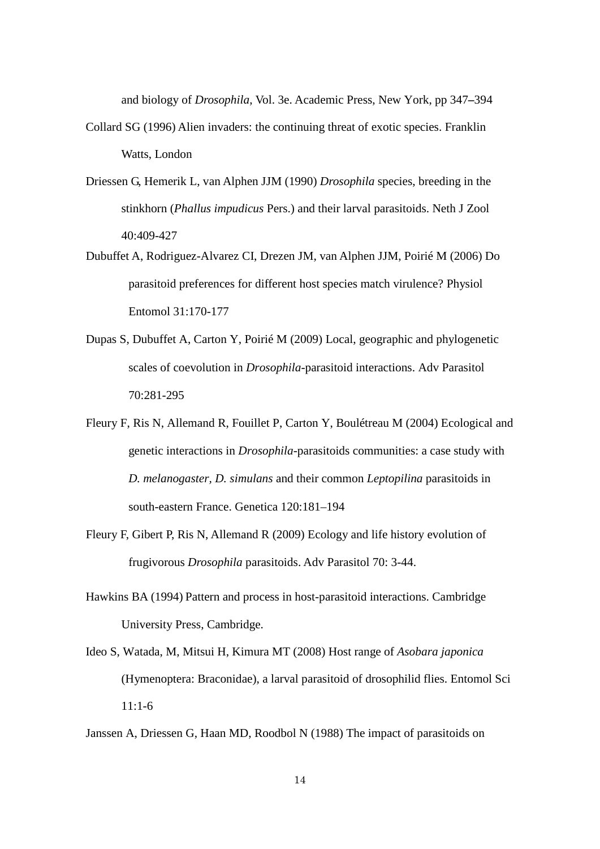and biology of *Drosophila*, Vol. 3e. Academic Press, New York, pp 347*–*394

- Collard SG (1996) Alien invaders: the continuing threat of exotic species. Franklin Watts, London
- Driessen G, Hemerik L, van Alphen JJM (1990) *Drosophila* species, breeding in the stinkhorn (*Phallus impudicus* Pers.) and their larval parasitoids. Neth J Zool 40:409-427
- Dubuffet A, Rodriguez-Alvarez CI, Drezen JM, van Alphen JJM, Poirié M (2006) Do parasitoid preferences for different host species match virulence? Physiol Entomol 31:170-177
- Dupas S, Dubuffet A, Carton Y, Poirié M (2009) Local, geographic and phylogenetic scales of coevolution in *Drosophila*-parasitoid interactions. Adv Parasitol 70:281-295
- Fleury F, Ris N, Allemand R, Fouillet P, Carton Y, Boulétreau M (2004) Ecological and genetic interactions in *Drosophila*-parasitoids communities: a case study with *D. melanogaster, D. simulans* and their common *Leptopilina* parasitoids in south-eastern France. Genetica 120:181–194
- Fleury F, Gibert P, Ris N, Allemand R (2009) Ecology and life history evolution of frugivorous *Drosophila* parasitoids. Adv Parasitol 70: 3-44.
- Hawkins BA (1994) Pattern and process in host-parasitoid interactions. Cambridge University Press, Cambridge.
- Ideo S, Watada, M, Mitsui H, Kimura MT (2008) Host range of *Asobara japonica* (Hymenoptera: Braconidae), a larval parasitoid of drosophilid flies. Entomol Sci 11:1-6
- Janssen A, Driessen G, Haan MD, Roodbol N (1988) The impact of parasitoids on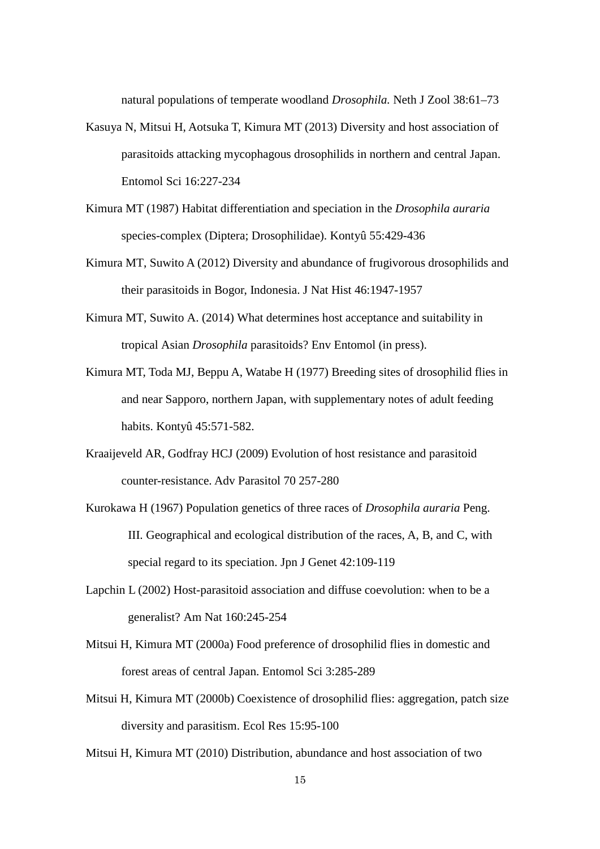natural populations of temperate woodland *Drosophila.* Neth J Zool 38:61–73

- Kasuya N, Mitsui H, Aotsuka T, Kimura MT (2013) Diversity and host association of parasitoids attacking mycophagous drosophilids in northern and central Japan. Entomol Sci 16:227-234
- Kimura MT (1987) Habitat differentiation and speciation in the *Drosophila auraria* species-complex (Diptera; Drosophilidae). Kontyû 55:429-436
- Kimura MT, Suwito A (2012) Diversity and abundance of frugivorous drosophilids and their parasitoids in Bogor, Indonesia. J Nat Hist 46:1947-1957
- Kimura MT, Suwito A. (2014) What determines host acceptance and suitability in tropical Asian *Drosophila* parasitoids? Env Entomol (in press).
- Kimura MT, Toda MJ, Beppu A, Watabe H (1977) Breeding sites of drosophilid flies in and near Sapporo, northern Japan, with supplementary notes of adult feeding habits. Kontyû 45:571-582.
- Kraaijeveld AR, Godfray HCJ (2009) Evolution of host resistance and parasitoid counter-resistance. Adv Parasitol 70 257-280
- Kurokawa H (1967) Population genetics of three races of *Drosophila auraria* Peng. III. Geographical and ecological distribution of the races, A, B, and C, with special regard to its speciation. Jpn J Genet 42:109-119
- Lapchin L (2002) Host-parasitoid association and diffuse coevolution: when to be a generalist? Am Nat 160:245-254
- Mitsui H, Kimura MT (2000a) Food preference of drosophilid flies in domestic and forest areas of central Japan. Entomol Sci 3:285-289
- Mitsui H, Kimura MT (2000b) Coexistence of drosophilid flies: aggregation, patch size diversity and parasitism. Ecol Res 15:95-100
- Mitsui H, Kimura MT (2010) Distribution, abundance and host association of two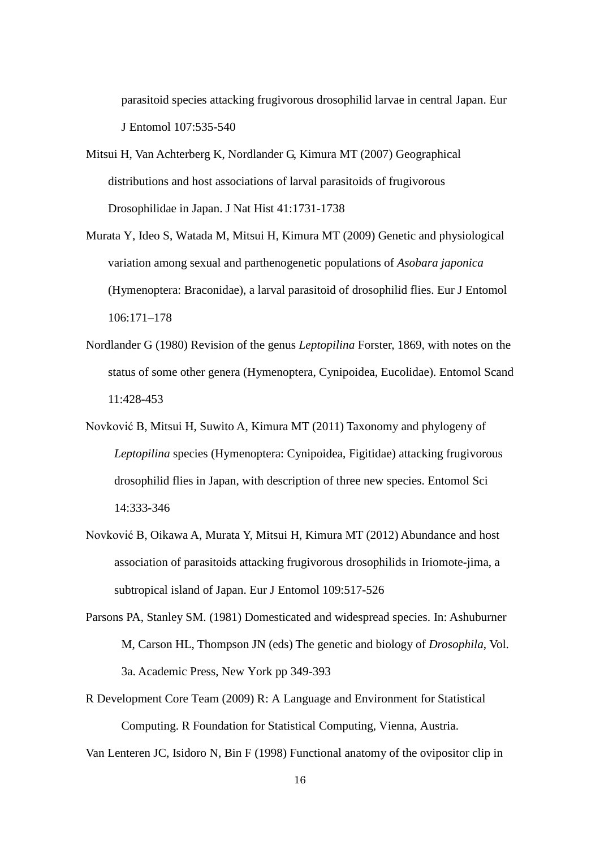parasitoid species attacking frugivorous drosophilid larvae in central Japan. Eur J Entomol 107:535-540

- [Mitsui H,](http://apps.isiknowledge.com/OneClickSearch.do?product=UA&search_mode=OneClickSearch&db_id=&SID=S17pb3N4Bj8jJOeC5pc&field=AU&value=Mitsui%20H&ut=000249153800011&pos=1) [Van Achterberg K,](http://apps.isiknowledge.com/OneClickSearch.do?product=UA&search_mode=OneClickSearch&db_id=&SID=S17pb3N4Bj8jJOeC5pc&field=AU&value=Van%20Achterberg%20K&ut=000249153800011&pos=2) [Nordlander G,](http://apps.isiknowledge.com/OneClickSearch.do?product=UA&search_mode=OneClickSearch&db_id=&SID=S17pb3N4Bj8jJOeC5pc&field=AU&value=Nordlander%20G&ut=000249153800011&pos=3) [Kimura MT](http://apps.isiknowledge.com/OneClickSearch.do?product=UA&search_mode=OneClickSearch&db_id=&SID=S17pb3N4Bj8jJOeC5pc&field=AU&value=Kimura%20MT&ut=000249153800011&pos=4) (2007) Geographical distributions and host associations of larval parasitoids of frugivorous Drosophilidae in Japan. J Nat Hist 41:1731-1738
- Murata Y, Ideo S, Watada M, Mitsui H, Kimura MT (2009) Genetic and physiological variation among sexual and parthenogenetic populations of *Asobara japonica*  (Hymenoptera: Braconidae), a larval parasitoid of drosophilid flies. Eur J Entomol 106:171–178
- Nordlander G (1980) Revision of the genus *Leptopilina* Forster, 1869, with notes on the status of some other genera (Hymenoptera, Cynipoidea, Eucolidae). Entomol Scand 11:428-453
- Novković B, Mitsui H, Suwito A, Kimura MT (2011) Taxonomy and phylogeny of *Leptopilina* species (Hymenoptera: Cynipoidea, Figitidae) attacking frugivorous drosophilid flies in Japan, with description of three new species. Entomol Sci 14:333-346
- Novković B, Oikawa A, Murata Y, Mitsui H, Kimura MT (2012) Abundance and host association of parasitoids attacking frugivorous drosophilids in Iriomote-jima, a subtropical island of Japan. Eur J Entomol 109:517-526
- Parsons PA, Stanley SM. (1981) Domesticated and widespread species. In: Ashuburner M, Carson HL, Thompson JN (eds) The genetic and biology of *Drosophila*, Vol. 3a. Academic Press, New York pp 349-393
- R Development Core Team (2009) R: A Language and Environment for Statistical Computing. R Foundation for Statistical Computing, Vienna, Austria.

Van Lenteren JC, Isidoro N, Bin F (1998) Functional anatomy of the ovipositor clip in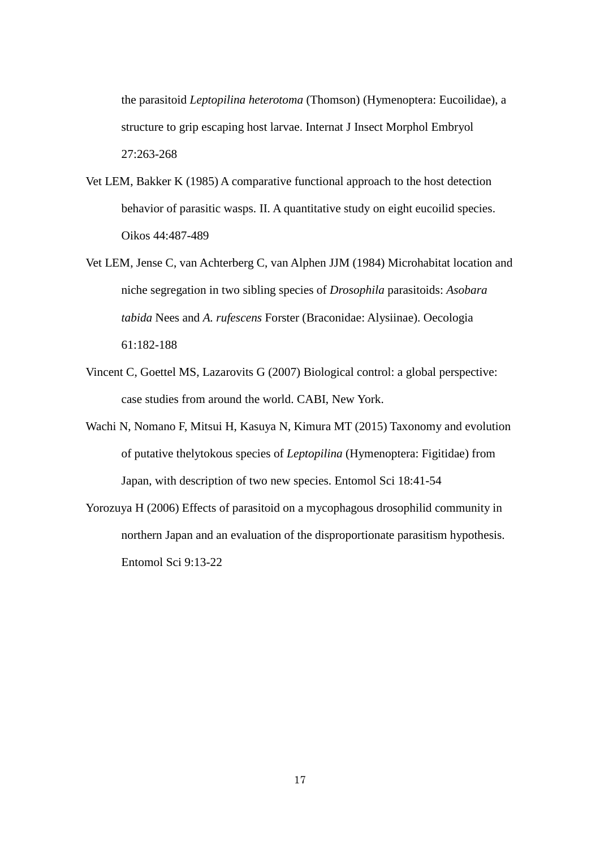the parasitoid *Leptopilina heterotoma* (Thomson) (Hymenoptera: Eucoilidae), a structure to grip escaping host larvae. Internat J Insect Morphol Embryol 27:263-268

- Vet LEM, Bakker K (1985) A comparative functional approach to the host detection behavior of parasitic wasps. II. A quantitative study on eight eucoilid species. Oikos 44:487-489
- Vet LEM, Jense C, van Achterberg C, van Alphen JJM (1984) Microhabitat location and niche segregation in two sibling species of *Drosophila* parasitoids: *Asobara tabida* Nees and *A. rufescens* Forster (Braconidae: Alysiinae). Oecologia 61:182-188
- Vincent C, Goettel MS, Lazarovits G (2007) Biological control: a global perspective: case studies from around the world. CABI, New York.
- Wachi N, Nomano F, Mitsui H, Kasuya N, Kimura MT (2015) Taxonomy and evolution of putative thelytokous species of *Leptopilina* (Hymenoptera: Figitidae) from Japan, with description of two new species. Entomol Sci 18:41-54
- Yorozuya H (2006) Effects of parasitoid on a mycophagous drosophilid community in northern Japan and an evaluation of the disproportionate parasitism hypothesis. Entomol Sci 9:13-22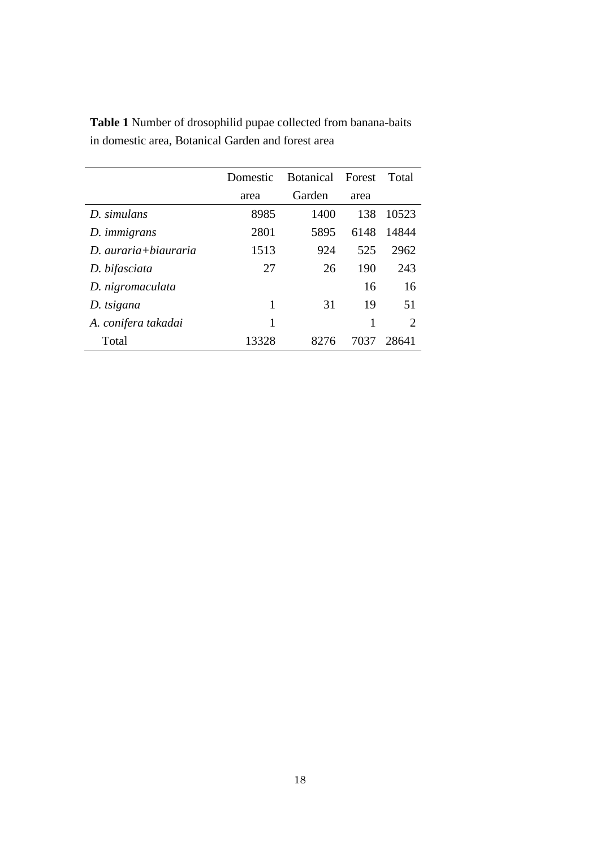|                              | Domestic | Botanical Forest |      | Total                       |
|------------------------------|----------|------------------|------|-----------------------------|
|                              | area     | Garden           | area |                             |
| D. simulans                  | 8985     | 1400             | 138  | 10523                       |
| D. <i>immigrans</i>          | 2801     | 5895             | 6148 | 14844                       |
| $D$ <i>auraria+biauraria</i> | 1513     | 924              | 525  | 2962                        |
| D. bifasciata                | 27       | 26               | 190  | 243                         |
| D. nigromaculata             |          |                  | 16   | 16                          |
| D. tsigana                   | 1        | 31               | 19   | 51                          |
| A. conifera takadai          | 1        |                  | 1    | $\mathcal{D}_{\mathcal{L}}$ |
| Total                        | 13328    | 8276             | 7037 | 28641                       |

**Table 1** Number of drosophilid pupae collected from banana-baits in domestic area, Botanical Garden and forest area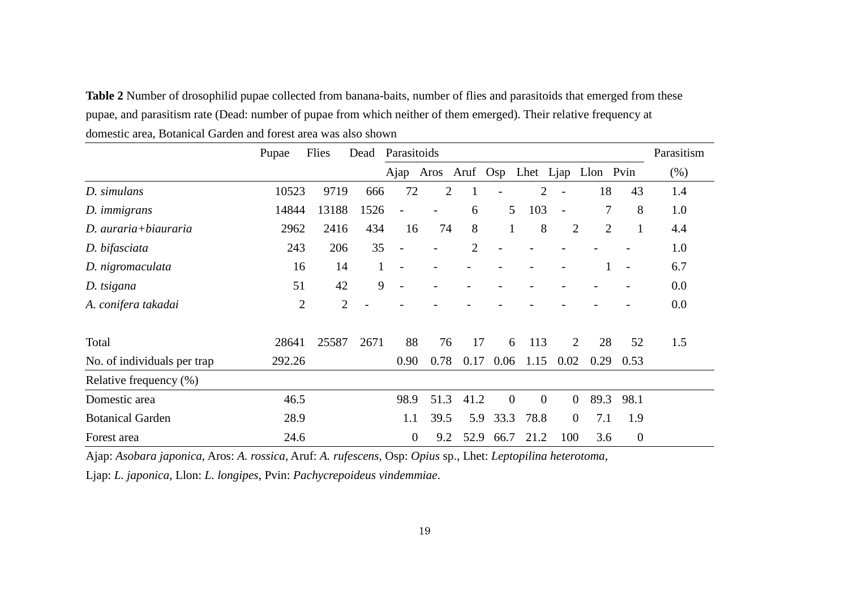**Table 2** Number of drosophilid pupae collected from banana-baits, number of flies and parasitoids that emerged from these pupae, and parasitism rate (Dead: number of pupae from which neither of them emerged). Their relative frequency at domestic area, Botanical Garden and forest area was also shown

|                             | Pupae          | Flies          | Dead         | Parasitoids              |                          |                |                |                                   |                          |                          |                          | Parasitism |
|-----------------------------|----------------|----------------|--------------|--------------------------|--------------------------|----------------|----------------|-----------------------------------|--------------------------|--------------------------|--------------------------|------------|
|                             |                |                |              | Ajap                     |                          |                |                | Aros Aruf Osp Lhet Ljap Llon Pvin |                          |                          |                          | (% )       |
| D. simulans                 | 10523          | 9719           | 666          | 72                       | $\overline{2}$           |                |                | 2                                 |                          | 18                       | 43                       | 1.4        |
| D. <i>immigrans</i>         | 14844          | 13188          | 1526         | $\qquad \qquad -$        | $\overline{\phantom{0}}$ | 6              | 5              | 103                               | $\overline{\phantom{a}}$ | $\overline{\mathcal{L}}$ | 8                        | 1.0        |
| D. auraria+biauraria        | 2962           | 2416           | 434          | 16                       | 74                       | 8              | $\mathbf{1}$   | 8                                 | $\overline{2}$           | $\overline{2}$           | $\mathbf{1}$             | 4.4        |
| D. bifasciata               | 243            | 206            | 35           | $\overline{a}$           |                          | $\overline{2}$ |                |                                   |                          |                          |                          | 1.0        |
| D. nigromaculata            | 16             | 14             | $\mathbf{1}$ | $\overline{\phantom{a}}$ |                          |                |                |                                   |                          |                          | $\overline{\phantom{a}}$ | 6.7        |
| D. tsigana                  | 51             | 42             | 9            |                          |                          |                |                |                                   |                          |                          |                          | 0.0        |
| A. conifera takadai         | $\overline{2}$ | $\overline{2}$ |              |                          |                          |                |                |                                   |                          |                          |                          | 0.0        |
| Total                       | 28641          | 25587          | 2671         | 88                       | 76                       | 17             | 6              | 113                               | 2                        | 28                       | 52                       | 1.5        |
| No. of individuals per trap | 292.26         |                |              | 0.90                     | 0.78                     | 0.17           | 0.06           | 1.15                              | 0.02                     | 0.29                     | 0.53                     |            |
| Relative frequency (%)      |                |                |              |                          |                          |                |                |                                   |                          |                          |                          |            |
| Domestic area               | 46.5           |                |              | 98.9                     | 51.3                     | 41.2           | $\overline{0}$ | $\overline{0}$                    | $\overline{0}$           | 89.3                     | 98.1                     |            |
| <b>Botanical Garden</b>     | 28.9           |                |              | 1.1                      | 39.5                     | 5.9            | 33.3           | 78.8                              | $\overline{0}$           | 7.1                      | 1.9                      |            |
| Forest area                 | 24.6           |                |              | $\boldsymbol{0}$         | 9.2                      | 52.9           | 66.7           | 21.2                              | 100                      | 3.6                      | $\overline{0}$           |            |

Ajap: *Asobara japonica*, Aros: *A. rossica*, Aruf: *A. rufescens*, Osp: *Opius* sp., Lhet: *Leptopilina heterotoma*,

Ljap: *L. japonica*, Llon: *L. longipes*, Pvin: *Pachycrepoideus vindemmiae*.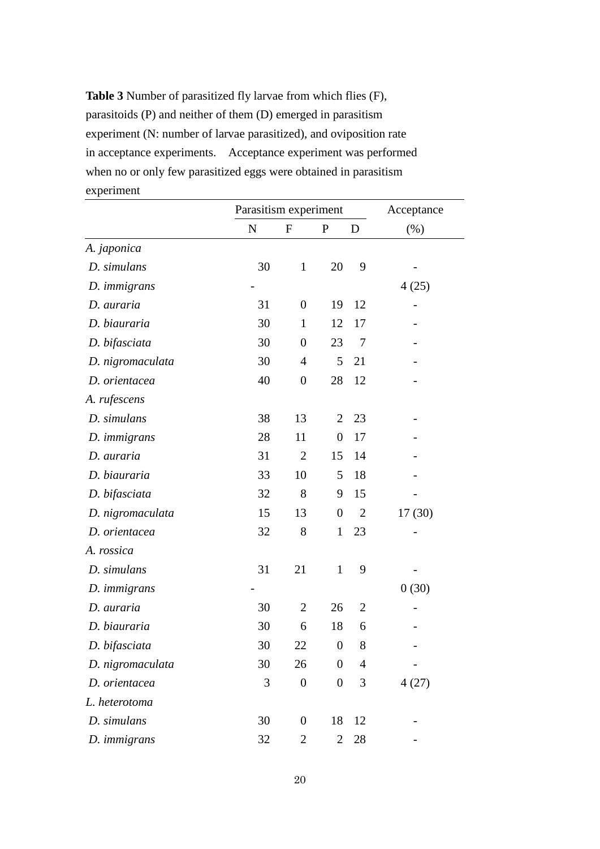**Table 3** Number of parasitized fly larvae from which flies (F), parasitoids (P) and neither of them (D) emerged in parasitism experiment (N: number of larvae parasitized), and oviposition rate in acceptance experiments. Acceptance experiment was performed when no or only few parasitized eggs were obtained in parasitism experiment

|                     | Parasitism experiment | Acceptance       |                  |                |        |
|---------------------|-----------------------|------------------|------------------|----------------|--------|
|                     | $\mathbf N$           | $\mathbf F$      | $\mathbf{P}$     | D              | (% )   |
| A. japonica         |                       |                  |                  |                |        |
| D. simulans         | 30                    | $\mathbf{1}$     | 20               | 9              |        |
| D. immigrans        |                       |                  |                  |                | 4(25)  |
| D. auraria          | 31                    | $\boldsymbol{0}$ | 19               | 12             |        |
| D. biauraria        | 30                    | $\mathbf{1}$     | 12               | 17             |        |
| D. bifasciata       | 30                    | $\boldsymbol{0}$ | 23               | $\overline{7}$ |        |
| D. nigromaculata    | 30                    | 4                | 5                | 21             |        |
| D. orientacea       | 40                    | $\boldsymbol{0}$ | 28               | 12             |        |
| A. rufescens        |                       |                  |                  |                |        |
| D. simulans         | 38                    | 13               | $\overline{2}$   | 23             |        |
| D. <i>immigrans</i> | 28                    | 11               | $\overline{0}$   | 17             |        |
| D. auraria          | 31                    | $\overline{2}$   | 15               | 14             |        |
| D. biauraria        | 33                    | 10               | 5                | 18             |        |
| D. bifasciata       | 32                    | 8                | 9                | 15             |        |
| D. nigromaculata    | 15                    | 13               | $\boldsymbol{0}$ | $\overline{2}$ | 17(30) |
| D. orientacea       | 32                    | 8                | $\mathbf{1}$     | 23             |        |
| A. rossica          |                       |                  |                  |                |        |
| D. simulans         | 31                    | 21               | $\mathbf{1}$     | 9              |        |
| D. immigrans        |                       |                  |                  |                | 0(30)  |
| D. auraria          | 30                    | $\overline{2}$   | 26               | $\overline{2}$ |        |
| D. biauraria        | 30                    | 6                | 18               | 6              |        |
| D. bifasciata       | 30                    | 22               | $\boldsymbol{0}$ | 8              |        |
| D. nigromaculata    | 30                    | 26               | $\boldsymbol{0}$ | 4              |        |
| D. orientacea       | 3                     | $\boldsymbol{0}$ | $\boldsymbol{0}$ | 3              | 4(27)  |
| L. heterotoma       |                       |                  |                  |                |        |
| D. simulans         | 30                    | $\boldsymbol{0}$ | 18               | 12             |        |
| D. immigrans        | 32                    | $\overline{c}$   | $\overline{c}$   | 28             |        |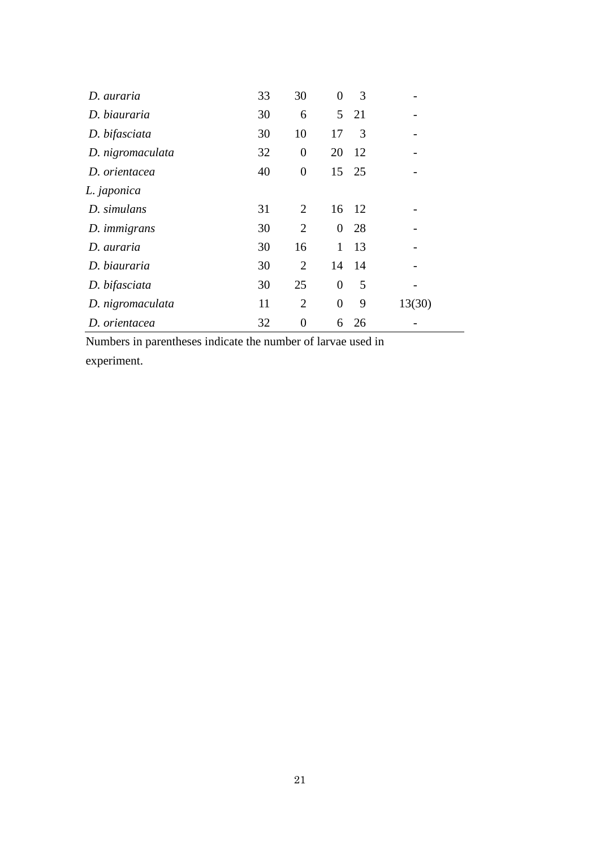| D. auraria       | 33 | 30             | 0                | 3     |        |
|------------------|----|----------------|------------------|-------|--------|
| D. biauraria     | 30 | 6              |                  | 5 21  |        |
| D. bifasciata    | 30 | 10             | 17               | 3     |        |
| D. nigromaculata | 32 | $\overline{0}$ | 20               | 12    |        |
| D. orientacea    | 40 | $\overline{0}$ | 15               | 25    |        |
| L. japonica      |    |                |                  |       |        |
| D. simulans      | 31 | 2              |                  | 16 12 |        |
| D. immigrans     | 30 | $\overline{2}$ | $\overline{0}$   | 28    |        |
| D. auraria       | 30 | 16             | $\mathbf{1}$     | 13    |        |
| D. biauraria     | 30 | $\overline{2}$ | 14               | 14    |        |
| D. bifasciata    | 30 | 25             | $\boldsymbol{0}$ | 5     |        |
| D. nigromaculata | 11 | $\overline{2}$ | $\overline{0}$   | 9     | 13(30) |
| D. orientacea    | 32 | 0              | 6                | 26    |        |

Numbers in parentheses indicate the number of larvae used in

experiment.